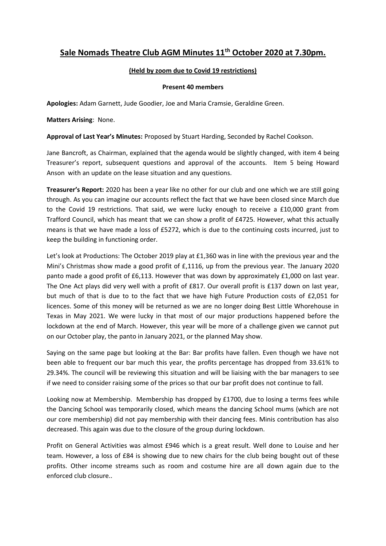# **Sale Nomads Theatre Club AGM Minutes 11th October 2020 at 7.30pm.**

# **(Held by zoom due to Covid 19 restrictions)**

### **Present 40 members**

**Apologies:** Adam Garnett, Jude Goodier, Joe and Maria Cramsie, Geraldine Green.

**Matters Arising**: None.

**Approval of Last Year's Minutes:** Proposed by Stuart Harding, Seconded by Rachel Cookson.

Jane Bancroft, as Chairman, explained that the agenda would be slightly changed, with item 4 being Treasurer's report, subsequent questions and approval of the accounts. Item 5 being Howard Anson with an update on the lease situation and any questions.

**Treasurer's Report:** 2020 has been a year like no other for our club and one which we are still going through. As you can imagine our accounts reflect the fact that we have been closed since March due to the Covid 19 restrictions. That said, we were lucky enough to receive a £10,000 grant from Trafford Council, which has meant that we can show a profit of £4725. However, what this actually means is that we have made a loss of £5272, which is due to the continuing costs incurred, just to keep the building in functioning order.

Let's look at Productions: The October 2019 play at £1,360 was in line with the previous year and the Mini's Christmas show made a good profit of £,1116, up from the previous year. The January 2020 panto made a good profit of £6,113. However that was down by approximately £1,000 on last year. The One Act plays did very well with a profit of £817. Our overall profit is £137 down on last year, but much of that is due to to the fact that we have high Future Production costs of £2,051 for licences. Some of this money will be returned as we are no longer doing Best Little Whorehouse in Texas in May 2021. We were lucky in that most of our major productions happened before the lockdown at the end of March. However, this year will be more of a challenge given we cannot put on our October play, the panto in January 2021, or the planned May show.

Saying on the same page but looking at the Bar: Bar profits have fallen. Even though we have not been able to frequent our bar much this year, the profits percentage has dropped from 33.61% to 29.34%. The council will be reviewing this situation and will be liaising with the bar managers to see if we need to consider raising some of the prices so that our bar profit does not continue to fall.

Looking now at Membership. Membership has dropped by £1700, due to losing a terms fees while the Dancing School was temporarily closed, which means the dancing School mums (which are not our core membership) did not pay membership with their dancing fees. Minis contribution has also decreased. This again was due to the closure of the group during lockdown.

Profit on General Activities was almost £946 which is a great result. Well done to Louise and her team. However, a loss of £84 is showing due to new chairs for the club being bought out of these profits. Other income streams such as room and costume hire are all down again due to the enforced club closure..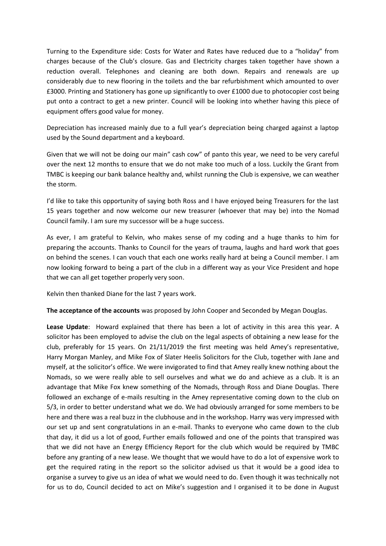Turning to the Expenditure side: Costs for Water and Rates have reduced due to a "holiday" from charges because of the Club's closure. Gas and Electricity charges taken together have shown a reduction overall. Telephones and cleaning are both down. Repairs and renewals are up considerably due to new flooring in the toilets and the bar refurbishment which amounted to over £3000. Printing and Stationery has gone up significantly to over £1000 due to photocopier cost being put onto a contract to get a new printer. Council will be looking into whether having this piece of equipment offers good value for money.

Depreciation has increased mainly due to a full year's depreciation being charged against a laptop used by the Sound department and a keyboard.

Given that we will not be doing our main" cash cow" of panto this year, we need to be very careful over the next 12 months to ensure that we do not make too much of a loss. Luckily the Grant from TMBC is keeping our bank balance healthy and, whilst running the Club is expensive, we can weather the storm.

I'd like to take this opportunity of saying both Ross and I have enjoyed being Treasurers for the last 15 years together and now welcome our new treasurer (whoever that may be) into the Nomad Council family. I am sure my successor will be a huge success.

As ever, I am grateful to Kelvin, who makes sense of my coding and a huge thanks to him for preparing the accounts. Thanks to Council for the years of trauma, laughs and hard work that goes on behind the scenes. I can vouch that each one works really hard at being a Council member. I am now looking forward to being a part of the club in a different way as your Vice President and hope that we can all get together properly very soon.

Kelvin then thanked Diane for the last 7 years work.

**The acceptance of the accounts** was proposed by John Cooper and Seconded by Megan Douglas.

**Lease Update**: Howard explained that there has been a lot of activity in this area this year. A solicitor has been employed to advise the club on the legal aspects of obtaining a new lease for the club, preferably for 15 years. On 21/11/2019 the first meeting was held Amey's representative, Harry Morgan Manley, and Mike Fox of Slater Heelis Solicitors for the Club, together with Jane and myself, at the solicitor's office. We were invigorated to find that Amey really knew nothing about the Nomads, so we were really able to sell ourselves and what we do and achieve as a club. It is an advantage that Mike Fox knew something of the Nomads, through Ross and Diane Douglas. There followed an exchange of e-mails resulting in the Amey representative coming down to the club on 5/3, in order to better understand what we do. We had obviously arranged for some members to be here and there was a real buzz in the clubhouse and in the workshop. Harry was very impressed with our set up and sent congratulations in an e-mail. Thanks to everyone who came down to the club that day, it did us a lot of good, Further emails followed and one of the points that transpired was that we did not have an Energy Efficiency Report for the club which would be required by TMBC before any granting of a new lease. We thought that we would have to do a lot of expensive work to get the required rating in the report so the solicitor advised us that it would be a good idea to organise a survey to give us an idea of what we would need to do. Even though it was technically not for us to do, Council decided to act on Mike's suggestion and I organised it to be done in August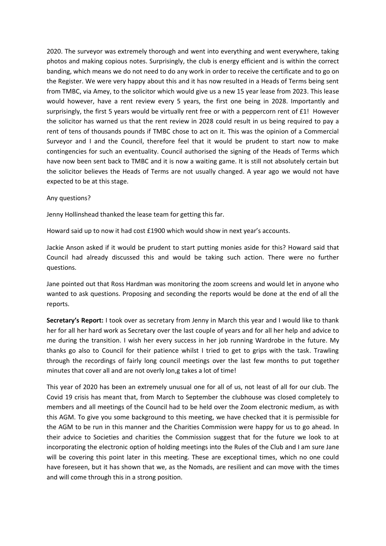2020. The surveyor was extremely thorough and went into everything and went everywhere, taking photos and making copious notes. Surprisingly, the club is energy efficient and is within the correct banding, which means we do not need to do any work in order to receive the certificate and to go on the Register. We were very happy about this and it has now resulted in a Heads of Terms being sent from TMBC, via Amey, to the solicitor which would give us a new 15 year lease from 2023. This lease would however, have a rent review every 5 years, the first one being in 2028. Importantly and surprisingly, the first 5 years would be virtually rent free or with a peppercorn rent of £1! However the solicitor has warned us that the rent review in 2028 could result in us being required to pay a rent of tens of thousands pounds if TMBC chose to act on it. This was the opinion of a Commercial Surveyor and I and the Council, therefore feel that it would be prudent to start now to make contingencies for such an eventuality. Council authorised the signing of the Heads of Terms which have now been sent back to TMBC and it is now a waiting game. It is still not absolutely certain but the solicitor believes the Heads of Terms are not usually changed. A year ago we would not have expected to be at this stage.

### Any questions?

Jenny Hollinshead thanked the lease team for getting this far.

Howard said up to now it had cost £1900 which would show in next year's accounts.

Jackie Anson asked if it would be prudent to start putting monies aside for this? Howard said that Council had already discussed this and would be taking such action. There were no further questions.

Jane pointed out that Ross Hardman was monitoring the zoom screens and would let in anyone who wanted to ask questions. Proposing and seconding the reports would be done at the end of all the reports.

**Secretary's Report:** I took over as secretary from Jenny in March this year and I would like to thank her for all her hard work as Secretary over the last couple of years and for all her help and advice to me during the transition. I wish her every success in her job running Wardrobe in the future. My thanks go also to Council for their patience whilst I tried to get to grips with the task. Trawling through the recordings of fairly long council meetings over the last few months to put together minutes that cover all and are not overly lon,g takes a lot of time!

This year of 2020 has been an extremely unusual one for all of us, not least of all for our club. The Covid 19 crisis has meant that, from March to September the clubhouse was closed completely to members and all meetings of the Council had to be held over the Zoom electronic medium, as with this AGM. To give you some background to this meeting, we have checked that it is permissible for the AGM to be run in this manner and the Charities Commission were happy for us to go ahead. In their advice to Societies and charities the Commission suggest that for the future we look to at incorporating the electronic option of holding meetings into the Rules of the Club and I am sure Jane will be covering this point later in this meeting. These are exceptional times, which no one could have foreseen, but it has shown that we, as the Nomads, are resilient and can move with the times and will come through this in a strong position.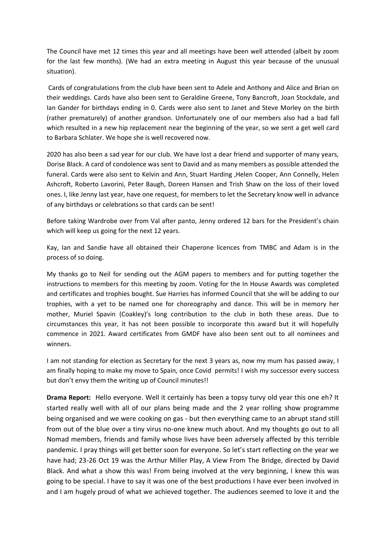The Council have met 12 times this year and all meetings have been well attended (albeit by zoom for the last few months). (We had an extra meeting in August this year because of the unusual situation).

Cards of congratulations from the club have been sent to Adele and Anthony and Alice and Brian on their weddings. Cards have also been sent to Geraldine Greene, Tony Bancroft, Joan Stockdale, and Ian Gander for birthdays ending in 0. Cards were also sent to Janet and Steve Morley on the birth (rather prematurely) of another grandson. Unfortunately one of our members also had a bad fall which resulted in a new hip replacement near the beginning of the year, so we sent a get well card to Barbara Schlater. We hope she is well recovered now.

2020 has also been a sad year for our club. We have lost a dear friend and supporter of many years, Dorise Black. A card of condolence was sent to David and as many members as possible attended the funeral. Cards were also sent to Kelvin and Ann, Stuart Harding ,Helen Cooper, Ann Connelly, Helen Ashcroft, Roberto Lavorini, Peter Baugh, Doreen Hansen and Trish Shaw on the loss of their loved ones. I, like Jenny last year, have one request, for members to let the Secretary know well in advance of any birthdays or celebrations so that cards can be sent!

Before taking Wardrobe over from Val after panto, Jenny ordered 12 bars for the President's chain which will keep us going for the next 12 years.

Kay, Ian and Sandie have all obtained their Chaperone licences from TMBC and Adam is in the process of so doing.

My thanks go to Neil for sending out the AGM papers to members and for putting together the instructions to members for this meeting by zoom. Voting for the In House Awards was completed and certificates and trophies bought. Sue Harries has informed Council that she will be adding to our trophies, with a yet to be named one for choreography and dance. This will be in memory her mother, Muriel Spavin (Coakley)'s long contribution to the club in both these areas. Due to circumstances this year, it has not been possible to incorporate this award but it will hopefully commence in 2021. Award certificates from GMDF have also been sent out to all nominees and winners.

I am not standing for election as Secretary for the next 3 years as, now my mum has passed away, I am finally hoping to make my move to Spain, once Covid permits! I wish my successor every success but don't envy them the writing up of Council minutes!!

**Drama Report:** Hello everyone. Well it certainly has been a topsy turvy old year this one eh? It started really well with all of our plans being made and the 2 year rolling show programme being organised and we were cooking on gas - but then everything came to an abrupt stand still from out of the blue over a tiny virus no-one knew much about. And my thoughts go out to all Nomad members, friends and family whose lives have been adversely affected by this terrible pandemic. I pray things will get better soon for everyone. So let's start reflecting on the year we have had; 23-26 Oct 19 was the Arthur Miller Play, A View From The Bridge, directed by David Black. And what a show this was! From being involved at the very beginning, I knew this was going to be special. I have to say it was one of the best productions I have ever been involved in and I am hugely proud of what we achieved together. The audiences seemed to love it and the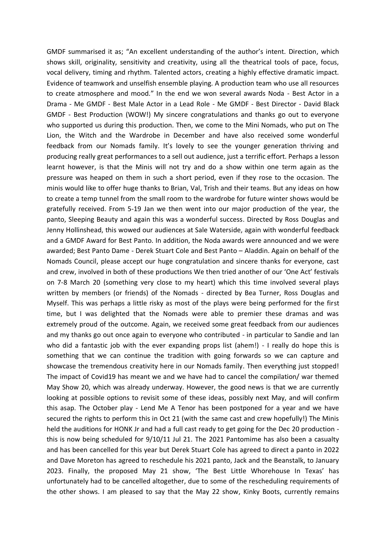GMDF summarised it as; "An excellent understanding of the author's intent. Direction, which shows skill, originality, sensitivity and creativity, using all the theatrical tools of pace, focus, vocal delivery, timing and rhythm. Talented actors, creating a highly effective dramatic impact. Evidence of teamwork and unselfish ensemble playing. A production team who use all resources to create atmosphere and mood." In the end we won several awards Noda - Best Actor in a Drama - Me GMDF - Best Male Actor in a Lead Role - Me GMDF - Best Director - David Black GMDF - Best Production (WOW!) My sincere congratulations and thanks go out to everyone who supported us during this production. Then, we come to the Mini Nomads, who put on The Lion, the Witch and the Wardrobe in December and have also received some wonderful feedback from our Nomads family. It's lovely to see the younger generation thriving and producing really great performances to a sell out audience, just a terrific effort. Perhaps a lesson learnt however, is that the Minis will not try and do a show within one term again as the pressure was heaped on them in such a short period, even if they rose to the occasion. The minis would like to offer huge thanks to Brian, Val, Trish and their teams. But any ideas on how to create a temp tunnel from the small room to the wardrobe for future winter shows would be gratefully received. From 5-19 Jan we then went into our major production of the year, the panto, Sleeping Beauty and again this was a wonderful success. Directed by Ross Douglas and Jenny Hollinshead, this wowed our audiences at Sale Waterside, again with wonderful feedback and a GMDF Award for Best Panto. In addition, the Noda awards were announced and we were awarded; Best Panto Dame - Derek Stuart Cole and Best Panto – Aladdin. Again on behalf of the Nomads Council, please accept our huge congratulation and sincere thanks for everyone, cast and crew, involved in both of these productions We then tried another of our 'One Act' festivals on 7-8 March 20 (something very close to my heart) which this time involved several plays written by members (or friends) of the Nomads - directed by Bea Turner, Ross Douglas and Myself. This was perhaps a little risky as most of the plays were being performed for the first time, but I was delighted that the Nomads were able to premier these dramas and was extremely proud of the outcome. Again, we received some great feedback from our audiences and my thanks go out once again to everyone who contributed - in particular to Sandie and Ian who did a fantastic job with the ever expanding props list (ahem!) - I really do hope this is something that we can continue the tradition with going forwards so we can capture and showcase the tremendous creativity here in our Nomads family. Then everything just stopped! The impact of Covid19 has meant we and we have had to cancel the compilation/ war themed May Show 20, which was already underway. However, the good news is that we are currently looking at possible options to revisit some of these ideas, possibly next May, and will confirm this asap. The October play - Lend Me A Tenor has been postponed for a year and we have secured the rights to perform this in Oct 21 (with the same cast and crew hopefully!) The Minis held the auditions for HONK Jr and had a full cast ready to get going for the Dec 20 production this is now being scheduled for 9/10/11 Jul 21. The 2021 Pantomime has also been a casualty and has been cancelled for this year but Derek Stuart Cole has agreed to direct a panto in 2022 and Dave Moreton has agreed to reschedule his 2021 panto, Jack and the Beanstalk, to January 2023. Finally, the proposed May 21 show, 'The Best Little Whorehouse In Texas' has unfortunately had to be cancelled altogether, due to some of the rescheduling requirements of the other shows. I am pleased to say that the May 22 show, Kinky Boots, currently remains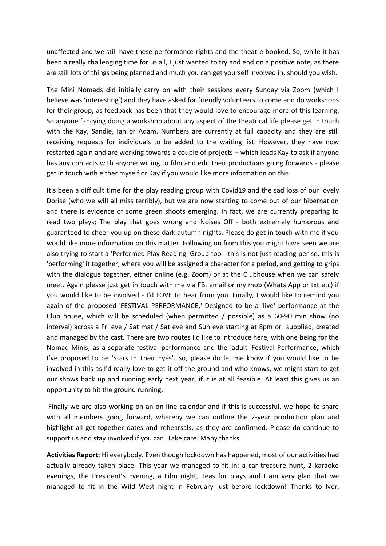unaffected and we still have these performance rights and the theatre booked. So, while it has been a really challenging time for us all, I just wanted to try and end on a positive note, as there are still lots of things being planned and much you can get yourself involved in, should you wish.

The Mini Nomads did initially carry on with their sessions every Sunday via Zoom (which I believe was 'interesting') and they have asked for friendly volunteers to come and do workshops for their group, as feedback has been that they would love to encourage more of this learning. So anyone fancying doing a workshop about any aspect of the theatrical life please get in touch with the Kay, Sandie, Ian or Adam. Numbers are currently at full capacity and they are still receiving requests for individuals to be added to the waiting list. However, they have now restarted again and are working towards a couple of projects – which leads Kay to ask if anyone has any contacts with anyone willing to film and edit their productions going forwards - please get in touch with either myself or Kay if you would like more information on this.

It's been a difficult time for the play reading group with Covid19 and the sad loss of our lovely Dorise (who we will all miss terribly), but we are now starting to come out of our hibernation and there is evidence of some green shoots emerging. In fact, we are currently preparing to read two plays; The play that goes wrong and Noises Off - both extremely humorous and guaranteed to cheer you up on these dark autumn nights. Please do get in touch with me if you would like more information on this matter. Following on from this you might have seen we are also trying to start a 'Performed Play Reading' Group too - this is not just reading per se, this is 'performing' it together, where you will be assigned a character for a period, and getting to grips with the dialogue together, either online (e.g. Zoom) or at the Clubhouse when we can safely meet. Again please just get in touch with me via FB, email or my mob (Whats App or txt etc) if you would like to be involved - I'd LOVE to hear from you. Finally, I would like to remind you again of the proposed 'FESTIVAL PERFORMANCE,' Designed to be a 'live' performance at the Club house, which will be scheduled (when permitted / possible) as a 60-90 min show (no interval) across a Fri eve / Sat mat / Sat eve and Sun eve starting at 8pm or supplied, created and managed by the cast. There are two routes I'd like to introduce here, with one being for the Nomad Minis, as a separate festival performance and the 'adult' Festival Performance, which I've proposed to be 'Stars In Their Eyes'. So, please do let me know if you would like to be involved in this as I'd really love to get it off the ground and who knows, we might start to get our shows back up and running early next year, if it is at all feasible. At least this gives us an opportunity to hit the ground running.

Finally we are also working on an on-line calendar and if this is successful, we hope to share with all members going forward, whereby we can outline the 2-year production plan and highlight all get-together dates and rehearsals, as they are confirmed. Please do continue to support us and stay involved if you can. Take care. Many thanks.

**Activities Report:** Hi everybody. Even though lockdown has happened, most of our activities had actually already taken place. This year we managed to fit in: a car treasure hunt, 2 karaoke evenings, the President's Evening, a Film night, Teas for plays and I am very glad that we managed to fit in the Wild West night in February just before lockdown! Thanks to Ivor,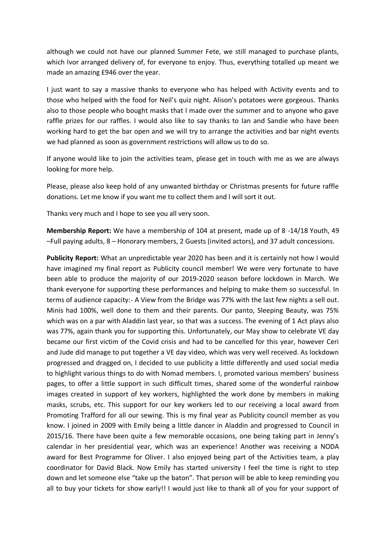although we could not have our planned Summer Fete, we still managed to purchase plants, which Ivor arranged delivery of, for everyone to enjoy. Thus, everything totalled up meant we made an amazing £946 over the year.

I just want to say a massive thanks to everyone who has helped with Activity events and to those who helped with the food for Neil's quiz night. Alison's potatoes were gorgeous. Thanks also to those people who bought masks that I made over the summer and to anyone who gave raffle prizes for our raffles. I would also like to say thanks to Ian and Sandie who have been working hard to get the bar open and we will try to arrange the activities and bar night events we had planned as soon as government restrictions will allow us to do so.

If anyone would like to join the activities team, please get in touch with me as we are always looking for more help.

Please, please also keep hold of any unwanted birthday or Christmas presents for future raffle donations. Let me know if you want me to collect them and I will sort it out.

Thanks very much and I hope to see you all very soon.

**Membership Report:** We have a membership of 104 at present, made up of 8 -14/18 Youth, 49 –Full paying adults, 8 – Honorary members, 2 Guests (invited actors), and 37 adult concessions.

**Publicity Report:** What an unpredictable year 2020 has been and it is certainly not how I would have imagined my final report as Publicity council member! We were very fortunate to have been able to produce the majority of our 2019-2020 season before lockdown in March. We thank everyone for supporting these performances and helping to make them so successful. In terms of audience capacity:- A View from the Bridge was 77% with the last few nights a sell out. Minis had 100%, well done to them and their parents. Our panto, Sleeping Beauty, was 75% which was on a par with Aladdin last year, so that was a success. The evening of 1 Act plays also was 77%, again thank you for supporting this. Unfortunately, our May show to celebrate VE day became our first victim of the Covid crisis and had to be cancelled for this year, however Ceri and Jude did manage to put together a VE day video, which was very well received. As lockdown progressed and dragged on, I decided to use publicity a little differently and used social media to highlight various things to do with Nomad members. I, promoted various members' business pages, to offer a little support in such difficult times, shared some of the wonderful rainbow images created in support of key workers, highlighted the work done by members in making masks, scrubs, etc. This support for our key workers led to our receiving a local award from Promoting Trafford for all our sewing. This is my final year as Publicity council member as you know. I joined in 2009 with Emily being a little dancer in Aladdin and progressed to Council in 2015/16. There have been quite a few memorable occasions, one being taking part in Jenny's calendar in her presidential year, which was an experience! Another was receiving a NODA award for Best Programme for Oliver. I also enjoyed being part of the Activities team, a play coordinator for David Black. Now Emily has started university I feel the time is right to step down and let someone else "take up the baton". That person will be able to keep reminding you all to buy your tickets for show early!! I would just like to thank all of you for your support of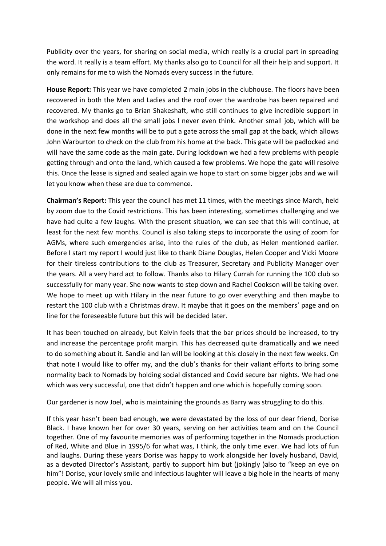Publicity over the years, for sharing on social media, which really is a crucial part in spreading the word. It really is a team effort. My thanks also go to Council for all their help and support. It only remains for me to wish the Nomads every success in the future.

**House Report:** This year we have completed 2 main jobs in the clubhouse. The floors have been recovered in both the Men and Ladies and the roof over the wardrobe has been repaired and recovered. My thanks go to Brian Shakeshaft, who still continues to give incredible support in the workshop and does all the small jobs I never even think. Another small job, which will be done in the next few months will be to put a gate across the small gap at the back, which allows John Warburton to check on the club from his home at the back. This gate will be padlocked and will have the same code as the main gate. During lockdown we had a few problems with people getting through and onto the land, which caused a few problems. We hope the gate will resolve this. Once the lease is signed and sealed again we hope to start on some bigger jobs and we will let you know when these are due to commence.

**Chairman's Report:** This year the council has met 11 times, with the meetings since March, held by zoom due to the Covid restrictions. This has been interesting, sometimes challenging and we have had quite a few laughs. With the present situation, we can see that this will continue, at least for the next few months. Council is also taking steps to incorporate the using of zoom for AGMs, where such emergencies arise, into the rules of the club, as Helen mentioned earlier. Before I start my report I would just like to thank Diane Douglas, Helen Cooper and Vicki Moore for their tireless contributions to the club as Treasurer, Secretary and Publicity Manager over the years. All a very hard act to follow. Thanks also to Hilary Currah for running the 100 club so successfully for many year. She now wants to step down and Rachel Cookson will be taking over. We hope to meet up with Hilary in the near future to go over everything and then maybe to restart the 100 club with a Christmas draw. It maybe that it goes on the members' page and on line for the foreseeable future but this will be decided later.

It has been touched on already, but Kelvin feels that the bar prices should be increased, to try and increase the percentage profit margin. This has decreased quite dramatically and we need to do something about it. Sandie and Ian will be looking at this closely in the next few weeks. On that note I would like to offer my, and the club's thanks for their valiant efforts to bring some normality back to Nomads by holding social distanced and Covid secure bar nights. We had one which was very successful, one that didn't happen and one which is hopefully coming soon.

Our gardener is now Joel, who is maintaining the grounds as Barry was struggling to do this.

If this year hasn't been bad enough, we were devastated by the loss of our dear friend, Dorise Black. I have known her for over 30 years, serving on her activities team and on the Council together. One of my favourite memories was of performing together in the Nomads production of Red, White and Blue in 1995/6 for what was, I think, the only time ever. We had lots of fun and laughs. During these years Dorise was happy to work alongside her lovely husband, David, as a devoted Director's Assistant, partly to support him but (jokingly )also to "keep an eye on him"! Dorise, your lovely smile and infectious laughter will leave a big hole in the hearts of many people. We will all miss you.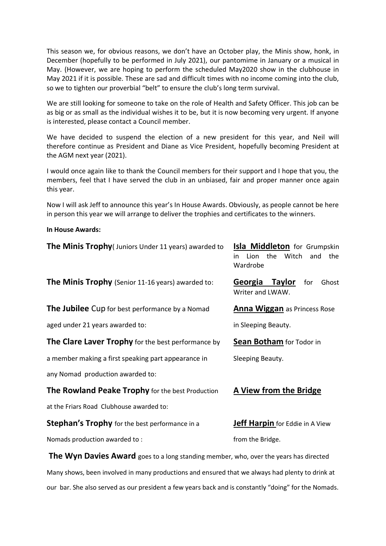This season we, for obvious reasons, we don't have an October play, the Minis show, honk, in December (hopefully to be performed in July 2021), our pantomime in January or a musical in May. (However, we are hoping to perform the scheduled May2020 show in the clubhouse in May 2021 if it is possible. These are sad and difficult times with no income coming into the club, so we to tighten our proverbial "belt" to ensure the club's long term survival.

We are still looking for someone to take on the role of Health and Safety Officer. This job can be as big or as small as the individual wishes it to be, but it is now becoming very urgent. If anyone is interested, please contact a Council member.

We have decided to suspend the election of a new president for this year, and Neil will therefore continue as President and Diane as Vice President, hopefully becoming President at the AGM next year (2021).

I would once again like to thank the Council members for their support and I hope that you, the members, feel that I have served the club in an unbiased, fair and proper manner once again this year.

Now I will ask Jeff to announce this year's In House Awards. Obviously, as people cannot be here in person this year we will arrange to deliver the trophies and certificates to the winners.

**In House Awards:** 

| <b>The Minis Trophy</b> (Juniors Under 11 years) awarded to                                  | <b>Isla Middleton</b> for Grumpskin<br>the<br>Witch<br>Lion<br>and<br>the<br>in.<br>Wardrobe |
|----------------------------------------------------------------------------------------------|----------------------------------------------------------------------------------------------|
| <b>The Minis Trophy</b> (Senior 11-16 years) awarded to:                                     | Georgia Taylor<br>for<br>Ghost<br>Writer and LWAW.                                           |
| <b>The Jubilee</b> Cup for best performance by a Nomad                                       | Anna Wiggan as Princess Rose                                                                 |
| aged under 21 years awarded to:                                                              | in Sleeping Beauty.                                                                          |
| <b>The Clare Laver Trophy</b> for the best performance by                                    | <b>Sean Botham</b> for Todor in                                                              |
| a member making a first speaking part appearance in                                          | Sleeping Beauty.                                                                             |
| any Nomad production awarded to:                                                             |                                                                                              |
| The Rowland Peake Trophy for the best Production                                             | A View from the Bridge                                                                       |
| at the Friars Road Clubhouse awarded to:                                                     |                                                                                              |
| Stephan's Trophy for the best performance in a                                               | <b>Jeff Harpin</b> for Eddie in A View                                                       |
| Nomads production awarded to:                                                                | from the Bridge.                                                                             |
| <b>The Wyn Davies Award</b> goes to a long standing member, who, over the years has directed |                                                                                              |

Many shows, been involved in many productions and ensured that we always had plenty to drink at our bar. She also served as our president a few years back and is constantly "doing" for the Nomads.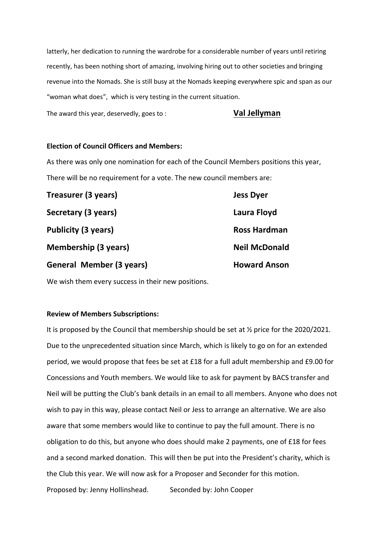latterly, her dedication to running the wardrobe for a considerable number of years until retiring recently, has been nothing short of amazing, involving hiring out to other societies and bringing revenue into the Nomads. She is still busy at the Nomads keeping everywhere spic and span as our "woman what does", which is very testing in the current situation.

The award this year, deservedly, goes to : **Val Jellyman**

## **Election of Council Officers and Members:**

As there was only one nomination for each of the Council Members positions this year, There will be no requirement for a vote. The new council members are:

| Treasurer (3 years)             | <b>Jess Dyer</b>     |
|---------------------------------|----------------------|
| Secretary (3 years)             | Laura Floyd          |
| <b>Publicity (3 years)</b>      | <b>Ross Hardman</b>  |
| <b>Membership (3 years)</b>     | <b>Neil McDonald</b> |
| <b>General Member (3 years)</b> | <b>Howard Anson</b>  |

We wish them every success in their new positions.

### **Review of Members Subscriptions:**

It is proposed by the Council that membership should be set at ½ price for the 2020/2021. Due to the unprecedented situation since March, which is likely to go on for an extended period, we would propose that fees be set at £18 for a full adult membership and £9.00 for Concessions and Youth members. We would like to ask for payment by BACS transfer and Neil will be putting the Club's bank details in an email to all members. Anyone who does not wish to pay in this way, please contact Neil or Jess to arrange an alternative. We are also aware that some members would like to continue to pay the full amount. There is no obligation to do this, but anyone who does should make 2 payments, one of £18 for fees and a second marked donation. This will then be put into the President's charity, which is the Club this year. We will now ask for a Proposer and Seconder for this motion. Proposed by: Jenny Hollinshead. Seconded by: John Cooper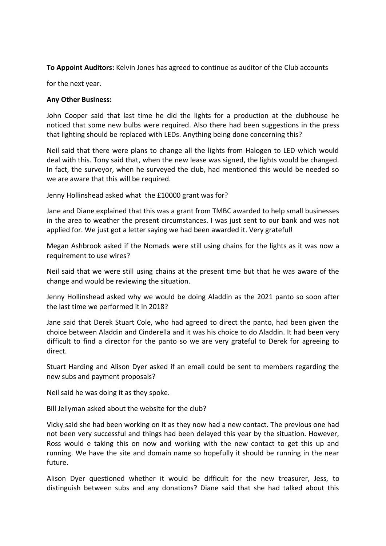**To Appoint Auditors:** Kelvin Jones has agreed to continue as auditor of the Club accounts

for the next year.

# **Any Other Business:**

John Cooper said that last time he did the lights for a production at the clubhouse he noticed that some new bulbs were required. Also there had been suggestions in the press that lighting should be replaced with LEDs. Anything being done concerning this?

Neil said that there were plans to change all the lights from Halogen to LED which would deal with this. Tony said that, when the new lease was signed, the lights would be changed. In fact, the surveyor, when he surveyed the club, had mentioned this would be needed so we are aware that this will be required.

Jenny Hollinshead asked what the £10000 grant was for?

Jane and Diane explained that this was a grant from TMBC awarded to help small businesses in the area to weather the present circumstances. I was just sent to our bank and was not applied for. We just got a letter saying we had been awarded it. Very grateful!

Megan Ashbrook asked if the Nomads were still using chains for the lights as it was now a requirement to use wires?

Neil said that we were still using chains at the present time but that he was aware of the change and would be reviewing the situation.

Jenny Hollinshead asked why we would be doing Aladdin as the 2021 panto so soon after the last time we performed it in 2018?

Jane said that Derek Stuart Cole, who had agreed to direct the panto, had been given the choice between Aladdin and Cinderella and it was his choice to do Aladdin. It had been very difficult to find a director for the panto so we are very grateful to Derek for agreeing to direct.

Stuart Harding and Alison Dyer asked if an email could be sent to members regarding the new subs and payment proposals?

Neil said he was doing it as they spoke.

Bill Jellyman asked about the website for the club?

Vicky said she had been working on it as they now had a new contact. The previous one had not been very successful and things had been delayed this year by the situation. However, Ross would e taking this on now and working with the new contact to get this up and running. We have the site and domain name so hopefully it should be running in the near future.

Alison Dyer questioned whether it would be difficult for the new treasurer, Jess, to distinguish between subs and any donations? Diane said that she had talked about this